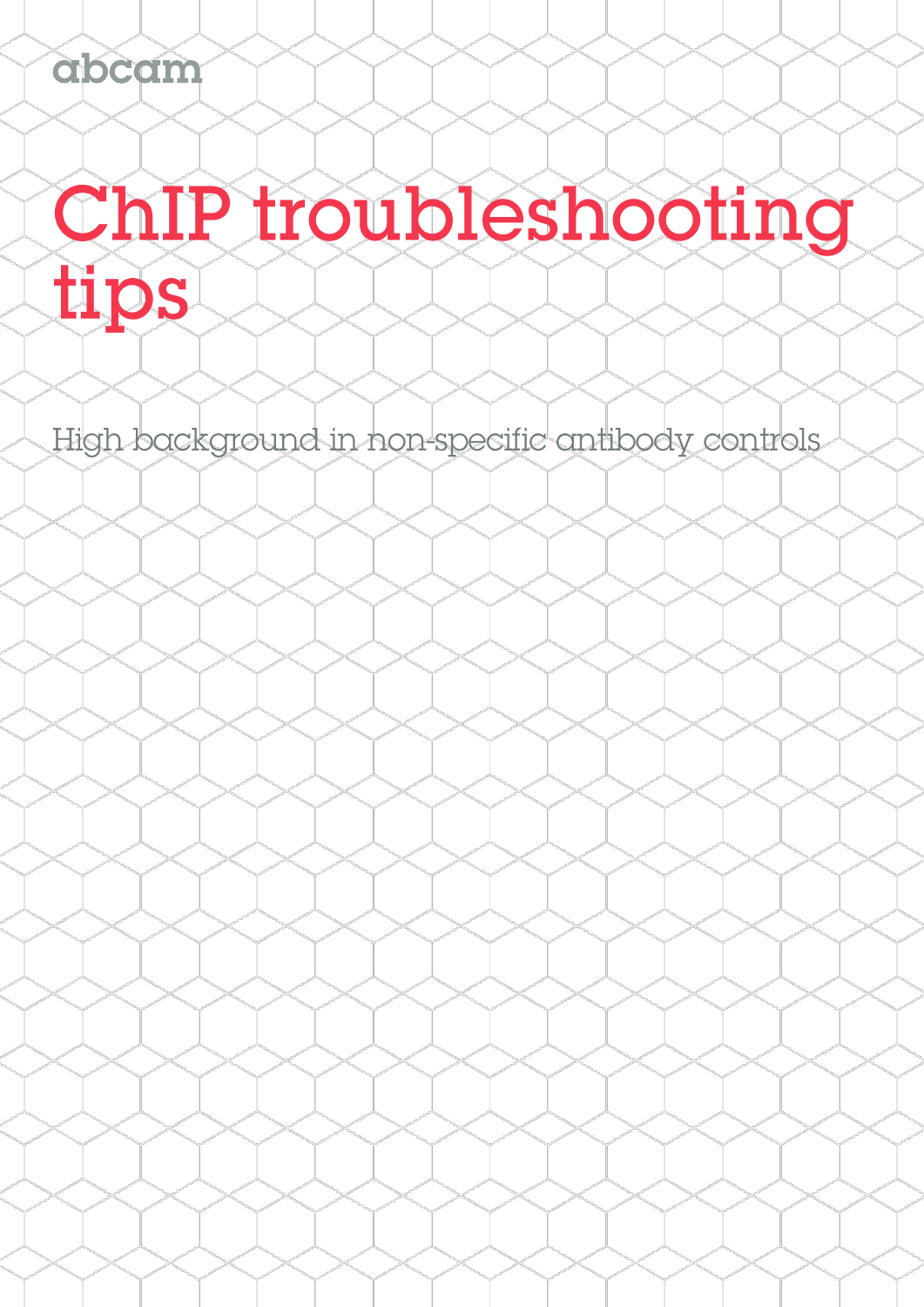abcam

# ChIP troubleshooting tips

High background in non-specific antibody controls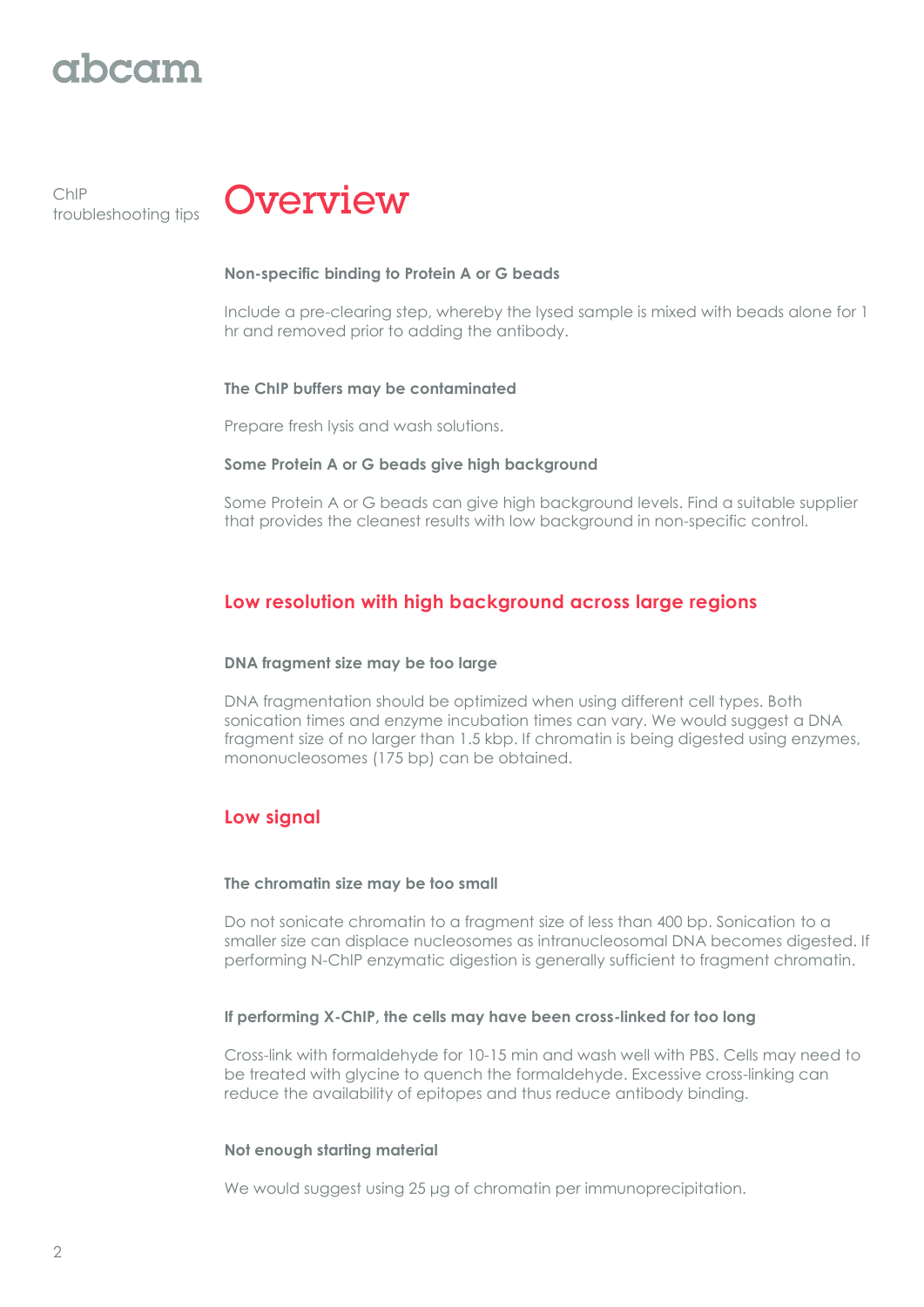# rhaam

ChIP troubleshooting tips



#### **Non-specific binding to Protein A or G beads**

Include a pre-clearing step, whereby the lysed sample is mixed with beads alone for 1 hr and removed prior to adding the antibody.

#### **The ChIP buffers may be contaminated**

Prepare fresh lysis and wash solutions.

#### **Some Protein A or G beads give high background**

Some Protein A or G beads can give high background levels. Find a suitable supplier that provides the cleanest results with low background in non-specific control.

# **Low resolution with high background across large regions**

# **DNA fragment size may be too large**

DNA fragmentation should be optimized when using different cell types. Both sonication times and enzyme incubation times can vary. We would suggest a DNA fragment size of no larger than 1.5 kbp. If chromatin is being digested using enzymes, mononucleosomes (175 bp) can be obtained.

# **Low signal**

#### **The chromatin size may be too small**

Do not sonicate chromatin to a fragment size of less than 400 bp. Sonication to a smaller size can displace nucleosomes as intranucleosomal DNA becomes digested. If performing N-ChIP enzymatic digestion is generally sufficient to fragment chromatin.

# **If performing X-ChIP, the cells may have been cross-linked for too long**

Cross-link with formaldehyde for 10-15 min and wash well with PBS. Cells may need to be treated with glycine to quench the formaldehyde. Excessive cross-linking can reduce the availability of epitopes and thus reduce antibody binding.

# **Not enough starting material**

We would suggest using 25 μg of chromatin per immunoprecipitation.